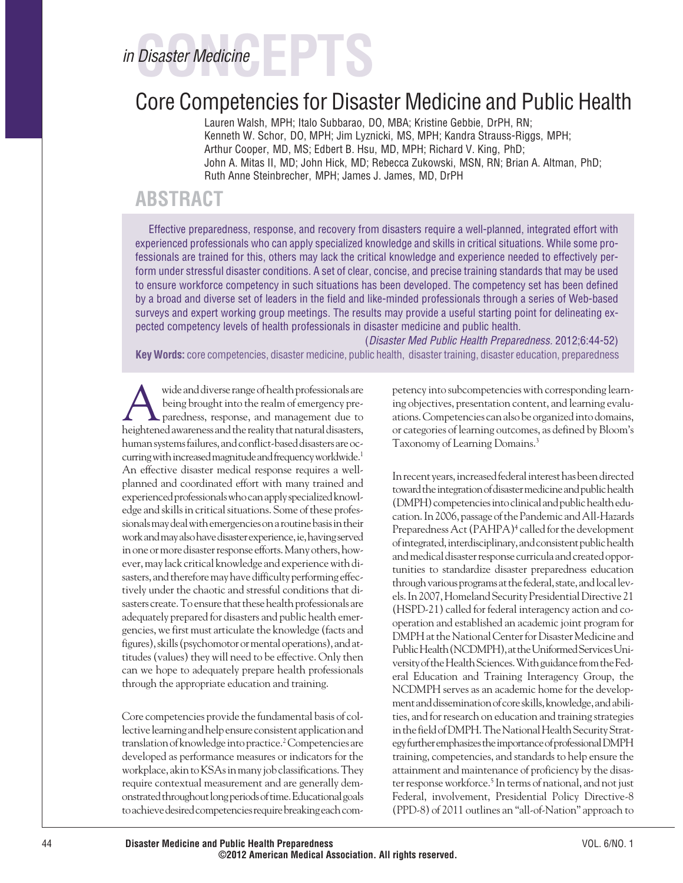# *in* Disaster Medicine

## Core Competencies for Disaster Medicine and Public Health

Lauren Walsh, MPH; Italo Subbarao, DO, MBA; Kristine Gebbie, DrPH, RN; Kenneth W. Schor, DO, MPH; Jim Lyznicki, MS, MPH; Kandra Strauss-Riggs, MPH; Arthur Cooper, MD, MS; Edbert B. Hsu, MD, MPH; Richard V. King, PhD; John A. Mitas II, MD; John Hick, MD; Rebecca Zukowski, MSN, RN; Brian A. Altman, PhD; Ruth Anne Steinbrecher, MPH; James J. James, MD, DrPH

### **ABSTRACT**

Effective preparedness, response, and recovery from disasters require a well-planned, integrated effort with experienced professionals who can apply specialized knowledge and skills in critical situations. While some professionals are trained for this, others may lack the critical knowledge and experience needed to effectively perform under stressful disaster conditions. A set of clear, concise, and precise training standards that may be used to ensure workforce competency in such situations has been developed. The competency set has been defined by a broad and diverse set of leaders in the field and like-minded professionals through a series of Web-based surveys and expert working group meetings. The results may provide a useful starting point for delineating expected competency levels of health professionals in disaster medicine and public health.

(*Disaster Med Public Health Preparedness.* 2012;6:44-52) Key Words: core competencies, disaster medicine, public health, disaster training, disaster education, preparedness

wide and diverse range of health professionals are petency into subcompetencies with corresponding learn-<br>
peredness, response, and management due to<br>
heightened awareness and the reality that natural disasters<br>
or categor heightened awareness and the reality that natural disasters, or categories of learning outcomes, as defined by Bloom's human systems failures, and conflict-based disasters are oc- Taxonomy of Learning Domains.<sup>3</sup> curring with increased magnitude and frequency worldwide.<sup>1</sup> An effective disaster medical response requires a well-<br>planned and coordinated effort with many trained and<br>experienced professionals who can apply specialized knowl-<br>edge and skills in critical situations. Some of these Exercise the chaotic and stessium conditions that diverses the chaotic and stessium conditions that diverses conditions that these health professionals are adequately prepared for disasters and public health emergencies, w

Core competencies provide the fundamental basis of col- ties, and forresearch on education and training strategies lective learning and help ensure consistent application and in the field of DMPH. The National Health Security Strattranslation of knowledge into practice.<sup>2</sup> Competencies are egy further emphasizes the importance of professional DMPH developed as performance measures or indicators for the training, competencies, and standards to help ensure the workplace, akin to KSAs in many job classifications. They attainment and maintenance of proficiency by the disasrequire contextual measurement and are generally dem-<br>ter response workforce.<sup>5</sup> In terms of national, and not just onstrated throughoutlongperiodsof time.Educationalgoals Federal, involvement, Presidential Policy Directive-8 to achieve desired competencies require breaking each com- (PPD-8) of 2011 outlines an "all-of-Nation" approach to

being brought into the realm of emergency pre- ing objectives, presentation content, and learning evaluparedness, response, and management due to ations. Competencies can also be organized into domains,

gencies, we first must articulate the knowledge (facts and<br>figures), skills (psychomotor or mental operations), and at-<br>titudes (values) they will need to be effective. Only then<br>can we hope to adequately prepare health pr mentanddisseminationofcore skills,knowledge,andabili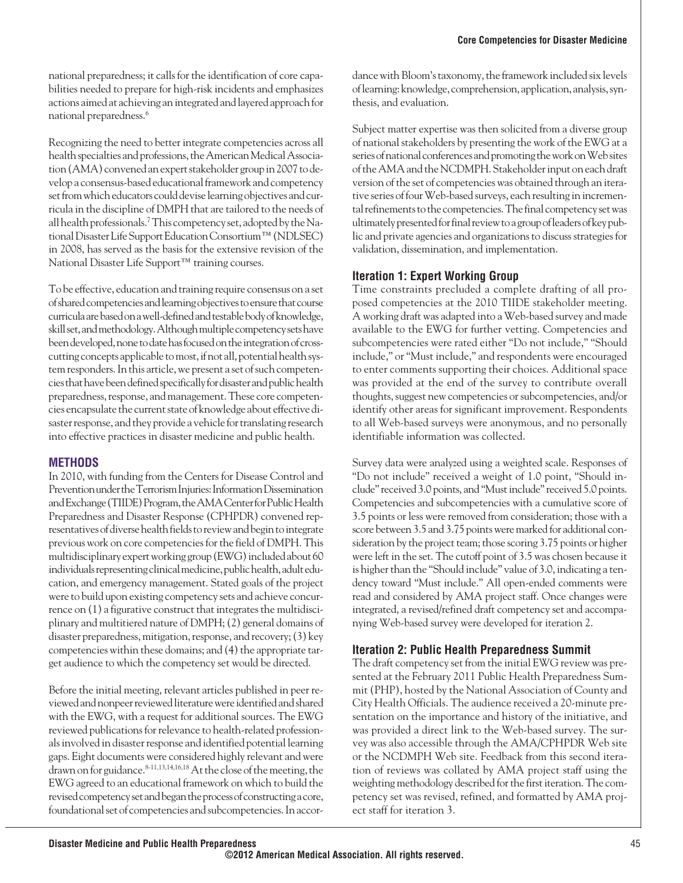national preparedness; it calls for the identification of core capabilities needed to prepare for high-risk incidents and emphasizes actions aimed at achieving an integrated and layered approach for national preparedness.<sup>6</sup>

Recognizing the need to better integrate competencies across all health specialties and professions, the American Medical Association (AMA) convenedan expertstakeholder groupin 2007 to develop a consensus-based educational framework and competency set from which educators could devise learning objectives and curricula in the discipline of DMPH that are tailored to the needs of all health professionals.<sup>7</sup>This competency set, adopted by the National Disaster Life Support Education Consortium™ (NDLSEC) in 2008, has served as the basis for the extensive revision of the National Disaster Life Support<sup>™</sup> training courses.

To be effective, education and training require consensus on a set of sharedcompetenciesandlearningobjectives toensure thatcourse curriculaarebasedonawell-definedand testablebodyofknowledge, skill set, and methodology. Although multiple competency sets have been developed, none to date has focused on the integration of crosscutting concepts applicable to most, if not all, potential health system responders. In this article, we present a set of such competencies that have been defined specifically for disaster and public health preparedness, response, and management. These core competencies encapsulate the current state of knowledge about effective disaster response, and they provide a vehicle for translating research into effective practices in disaster medicine and public health.

### **METHODS**

In 2010, with funding from the Centers for Disease Control and Prevention under the Terrorism Injuries: Information Dissemination andExchange(TIIDE)Program,theAMACenterforPublicHealth Preparedness and Disaster Response (CPHPDR) convened representatives of diverse health fields to review and begin to integrate previous work on core competencies for the field of DMPH. This multidisciplinary expert working group ( $EWG$ ) included about 60 individuals representing clinical medicine, public health, adult education, and emergency management. Stated goals of the project were to build upon existing competency sets and achieve concurrence on (1) a figurative construct that integrates the multidisciplinary and multitiered nature of DMPH;(2) general domains of disaster preparedness, mitigation, response, and recovery; (3) key competencies within these domains; and  $(4)$  the appropriate target audience to which the competency set would be directed.

Before the initial meeting, relevant articles published in peer reviewed and nonpeer reviewedliteraturewereidentifiedand shared with the EWG, with a request for additional sources. The EWG reviewed publications for relevance to health-related professionals involved in disaster response and identified potential learning gaps. Eight documents were considered highly relevant and were drawn on for guidance.<sup>8-11,13,14,16,18</sup> At the close of the meeting, the EWG agreed to an educational framework on which to build the revised competency set and began the process of constructing a core, foundational set of competencies and subcompetencies. In accordance with Bloom's taxonomy, the framework included six levels oflearning: knowledge,comprehension,application,analysis, synthesis, and evaluation.

Subject matter expertise was then solicited from a diverse group of national stakeholders by presenting the work of the EWG at a series of national conferences and promoting the work on Web sites oftheAMAand theNCDMPH.Stakeholderinput oneachdraft version of the set of competencies was obtained through an iterative series of four Web-based surveys, each resulting in incremental refinements to the competencies. The final competency set was ultimately presented for final review to a group of leaders of key public and private agencies and organizations to discuss strategies for validation, dissemination, and implementation.

### **Iteration 1: Expert Working Group**

Time constraints precluded a complete drafting of all proposed competencies at the 2010 TIIDE stakeholder meeting. A working draft was adapted into a Web-based survey and made available to the EWG for further vetting. Competencies and subcompetencies were rated either "Do not include," "Should include," or"Must include," and respondents were encouraged to enter comments supporting their choices. Additional space was provided at the end of the survey to contribute overall thoughts, suggest new competencies or subcompetencies, and/or identify other areas for significant improvement. Respondents to all Web-based surveys were anonymous, and no personally identifiable information was collected.

Survey data were analyzed using a weighted scale. Responses of "Do not include" received a weight of 1.0 point, "Should include" received 3.0 points, and "Must include" received 5.0 points. Competencies and subcompetencies with a cumulative score of 3.5 points or less were removed from consideration; those with a score between 3.5 and 3.75 points were marked for additional consideration by the project team; those scoring 3.75 points or higher were left in the set. The cutoff point of 3.5 was chosen because it is higher than the "Should include" value of 3.0, indicating a tendency toward "Must include." All open-ended comments were read and considered by AMA project staff. Once changes were integrated, a revised/refined draft competency set and accompanying Web-based survey were developed for iteration 2.

### **Iteration 2: Public Health Preparedness Summit**

The draft competency set from the initial EWG review was presented at the February 2011 Public Health Preparedness Summit(PHP), hosted by the National Association of County and City Health Officials. The audience received a 20-minute presentation on the importance and history of the initiative, and was provided a direct link to the Web-based survey. The survey was also accessible through the AMA/CPHPDR Web site or the NCDMPH Web site. Feedback from this second iteration of reviews was collated by AMA project staff using the weighting methodology described for the first iteration. The competency set was revised, refined, and formatted by AMA project staff for iteration 3.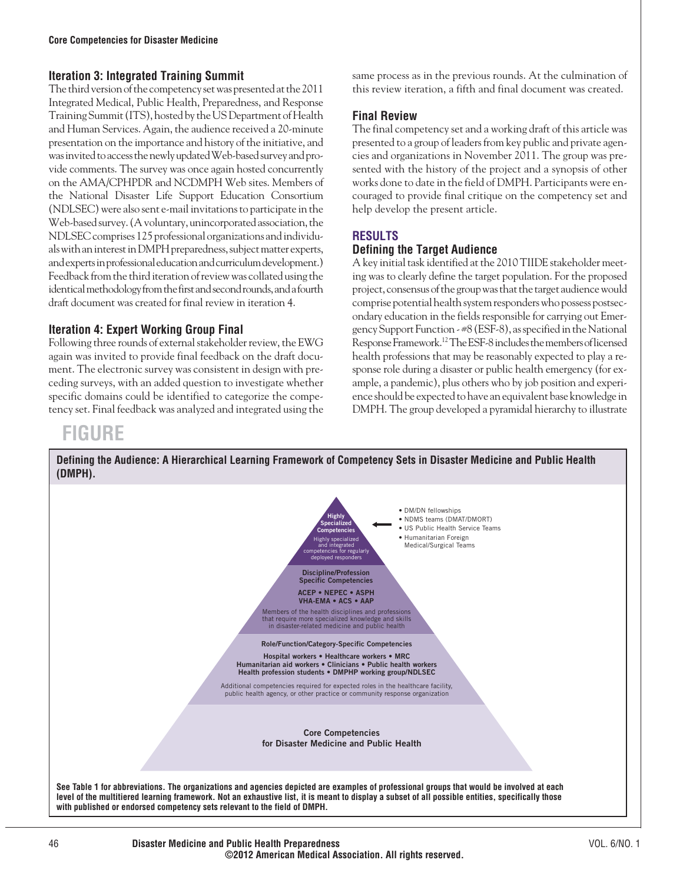### **Iteration 3: Integrated Training Summit**

The third version of the competency set was presented at the 2011 Integrated Medical, Public Health, Preparedness, and Response Training Summit (ITS), hosted by the US Department of Health and Human Services. Again, the audience received a 20-minute presentation on the importance and history of the initiative, and was invited to access the newly updated Web-based survey and provide comments. The survey was once again hosted concurrently on the AMA/CPHPDR and NCDMPH Web sites. Members of the National Disaster Life Support Education Consortium (NDLSEC) were also sent e-mail invitations to participate in the Web-based survey. (A voluntary, unincorporated association, the NDLSEC comprises 125 professional organizations and individuals with an interest in DMPH preparedness, subject matter experts, and experts in professional education and curriculum development.) Feedback from the third iteration of review was collated using the identical methodology from the first and second rounds, and a fourth draft document was created for final review in iteration 4.

### **Iteration 4: Expert Working Group Final**

Following three rounds of external stakeholder review, the EWG again was invited to provide final feedback on the draft document. The electronic survey was consistent in design with preceding surveys, with an added question to investigate whether specific domains could be identified to categorize the competency set. Final feedback was analyzed and integrated using the

same process as in the previous rounds. At the culmination of this review iteration, a fifth and final document was created.

### **Final Review**

The final competency set and a working draft of this article was presented to a group of leaders from key public and private agencies and organizations in November 2011. The group was presented with the history of the project and a synopsis of other works done to date in the field of DMPH. Participants were encouraged to provide final critique on the competency set and help develop the present article.

#### **RESULTS Defining the Target Audience**

A key initial task identified at the 2010 TIIDE stakeholder meeting was to clearly define the target population. For the proposed project, consensus of the group was that the target audience would comprise potential health system responders who possess postsecondary education in the fields responsible for carrying out EmergencySupport Function- #8 (ESF-8), asspecified intheNational Response Framework.<sup>12</sup>The ESF-8 includes the members of licensed health professions that may be reasonably expected to play a response role during a disaster or public health emergency (for example, a pandemic), plus others who by job position and experience should be expected tohave anequivalent base knowledge in DMPH. The group developed a pyramidal hierarchy to illustrate

### **FIGURE**

Defining the Audience: A Hierarchical Learning Framework of Competency Sets in Disaster Medicine and Public Health **(DMPH).**

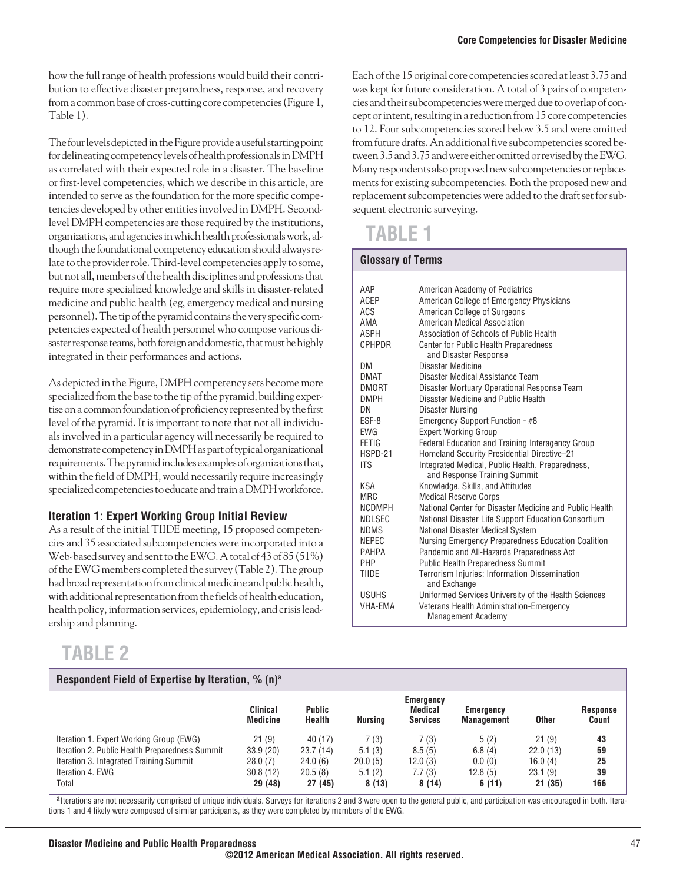how the full range of health professions would build their contribution to effective disaster preparedness, response, and recovery from a common base of cross-cutting core competencies (Figure 1, Table 1).

The four levels depicted in the Figure provide a useful starting point for delineatingcompetencylevels ofhealth professionalsinDMPH as correlated with their expected role in a disaster. The baseline or first-level competencies, which we describe in this article, are intended to serve as the foundation for the more specific competencies developed by other entities involved in DMPH. Secondlevel DMPH competencies are those required by the institutions, organizations, and agenciesinwhich healthprofessionalswork, although the foundational competency education should always relate to the provider role. Third-level competencies apply to some, but not all, members of the health disciplines and professions that require more specialized knowledge and skills in disaster-related medicine and public health (eg, emergency medical and nursing personnel). The tip of the pyramid contains the very specific competencies expected of health personnel who compose various disaster response teams, both foreign and domestic, that must be highly integrated in their performances and actions.

As depicted in the Figure, DMPH competency sets become more specialized from the base to the tip of the pyramid, building expertise on a common foundation of proficiency represented by the first level of the pyramid. It is important to note that not all individuals involved in a particular agency will necessarily be required to demonstrate competency in DMPH as part of typical organizational requirements. The pyramid includes examples of organizations that, within the field of DMPH, would necessarily require increasingly specialized competencies to educate and train a DMPH workforce.

### **Iteration 1: Expert Working Group Initial Review**

As a result of the initial TIIDE meeting, 15 proposed competencies and 35 associated subcompetencieswere incorporated into a Web-based survey and sent to the EWG. A total of 43 of 85 (51%) oftheEWGmembers completed the survey (Table 2).The group had broad representation from clinical medicine and public health, with additional representation from the fields of health education, health policy, information services, epidemiology, and crisis leadership and planning.

### **TABLE 2**

### **Respondent Field of Expertise by Iteration, % (n)a**

Each of the 15 original core competencies scored at least 3.75 and was kept for future consideration. A total of 3 pairs of competencies and their subcompetencies were merged due to overlap of concept or intent, resulting in a reduction from 15 core competencies to 12. Four subcompetencies scored below 3.5 and were omitted from future drafts. An additional five subcompetencies scored between 3.5 and 3.75 and were either omitted or revised by the EWG. Many respondents also proposed new subcompetencies or replacements for existing subcompetencies. Both the proposed new and replacement subcompetencies were added to the draft set for subsequent electronic surveying.

### **TABLE 1**

#### **Glossary of Terms**

| AAP            | American Academy of Pediatrics                                                   |
|----------------|----------------------------------------------------------------------------------|
| <b>ACFP</b>    | American College of Emergency Physicians                                         |
| <b>ACS</b>     | American College of Surgeons                                                     |
| AMA            | <b>American Medical Association</b>                                              |
| ASPH           | Association of Schools of Public Health                                          |
| CPHPDR         | <b>Center for Public Health Preparedness</b><br>and Disaster Response            |
| <b>DM</b>      | Disaster Medicine                                                                |
| DMAT           | Disaster Medical Assistance Team                                                 |
| <b>DMORT</b>   | Disaster Mortuary Operational Response Team                                      |
| <b>DMPH</b>    | Disaster Medicine and Public Health                                              |
| DN             | Disaster Nursing                                                                 |
| ESF-8          | Emergency Support Function - #8                                                  |
| EWG            | <b>Expert Working Group</b>                                                      |
| <b>FETIG</b>   | Federal Education and Training Interagency Group                                 |
| HSPD-21        | Homeland Security Presidential Directive-21                                      |
| <b>ITS</b>     | Integrated Medical, Public Health, Preparedness,<br>and Response Training Summit |
| <b>KSA</b>     | Knowledge, Skills, and Attitudes                                                 |
| <b>MRC</b>     | <b>Medical Reserve Corps</b>                                                     |
| <b>NCDMPH</b>  | National Center for Disaster Medicine and Public Health                          |
| <b>NDLSEC</b>  | National Disaster Life Support Education Consortium                              |
| <b>NDMS</b>    | National Disaster Medical System                                                 |
| NEPEC          | <b>Nursing Emergency Preparedness Education Coalition</b>                        |
| PAHPA          | Pandemic and All-Hazards Preparedness Act                                        |
| <b>PHP</b>     | <b>Public Health Preparedness Summit</b>                                         |
| <b>TIIDF</b>   | Terrorism Injuries: Information Dissemination<br>and Exchange                    |
| <b>USUHS</b>   | Uniformed Services University of the Health Sciences                             |
| <b>VHA-FMA</b> | <b>Veterans Health Administration-Emergency</b><br>Management Academy            |

|                                                | <b>Clinical</b><br><b>Medicine</b> | <b>Public</b><br><b>Health</b> | <b>Nursing</b> | <b>Emergency</b><br><b>Medical</b><br><b>Services</b> | <b>Emergency</b><br><b>Management</b> | <b>Other</b> | <b>Response</b><br><b>Count</b> |
|------------------------------------------------|------------------------------------|--------------------------------|----------------|-------------------------------------------------------|---------------------------------------|--------------|---------------------------------|
| Iteration 1. Expert Working Group (EWG)        | 21(9)                              | 40 (17)                        | 7(3)           | 7 (3)                                                 | 5(2)                                  | 21(9)        | 43                              |
| Iteration 2. Public Health Preparedness Summit | 33.9(20)                           | 23.7(14)                       | 5.1(3)         | 8.5(5)                                                | 6.8(4)                                | 22.0(13)     | 59                              |
| Iteration 3. Integrated Training Summit        | 28.0(7)                            | 24.0(6)                        | 20.0(5)        | 12.0 (3)                                              | 0.0(0)                                | 16.0(4)      | 25                              |
| Iteration 4. EWG                               | 30.8(12)                           | 20.5(8)                        | 5.1(2)         | 7.7(3)                                                | 12.8(5)                               | 23.1(9)      | 39                              |
| Total                                          | 29 (48)                            | 27 (45)                        | 8(13)          | 8(14)                                                 | 6(11)                                 | 21(35)       | 166                             |

a<sub>lterations are not necessarily comprised of unique individuals. Surveys for iterations 2 and 3 were open to the general public, and participation was encouraged in both. Itera-</sub> tions 1 and 4 likely were composed of similar participants, as they were completed by members of the EWG.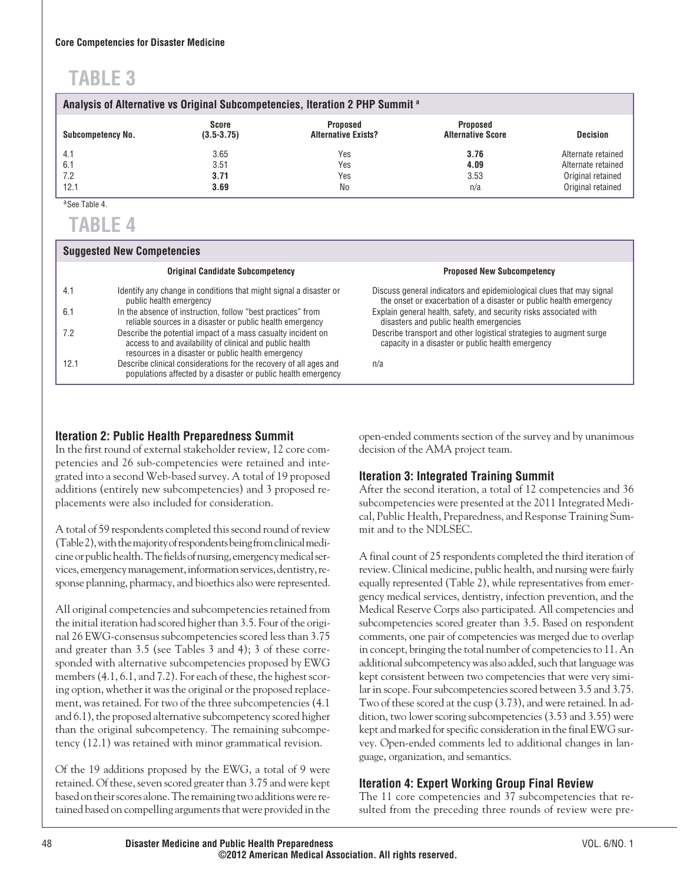## **TABLE 3**

| Analysis of Alternative vs Original Subcompetencies, Iteration 2 PHP Summit <sup>a</sup> |                         |                                               |                                      |                    |
|------------------------------------------------------------------------------------------|-------------------------|-----------------------------------------------|--------------------------------------|--------------------|
| <b>Subcompetency No.</b>                                                                 | Score<br>$(3.5 - 3.75)$ | <b>Proposed</b><br><b>Alternative Exists?</b> | Proposed<br><b>Alternative Score</b> | <b>Decision</b>    |
| 4.1                                                                                      | 3.65                    | Yes                                           | 3.76                                 | Alternate retained |
| 6.1                                                                                      | 3.51                    | Yes                                           | 4.09                                 | Alternate retained |
| 7.2                                                                                      | 3.71                    | Yes                                           | 3.53                                 | Original retained  |
| 12.1                                                                                     | 3.69                    | No                                            | n/a                                  | Original retained  |
| $20.77$ . T. L.I. 4                                                                      |                         |                                               |                                      |                    |

See Table 4.

### **TABLE 4**

### **Suggested New Competencies**

#### **Original Candidate Subcompetency Proposed New Subcompetency**

| 4.1  | Identify any change in conditions that might signal a disaster or<br>public health emergency                                                                                   | Dis       |
|------|--------------------------------------------------------------------------------------------------------------------------------------------------------------------------------|-----------|
| 6.1  | In the absence of instruction, follow "best practices" from<br>reliable sources in a disaster or public health emergency                                                       | Exp<br>C  |
| 7.2  | Describe the potential impact of a mass casualty incident on<br>access to and availability of clinical and public health<br>resources in a disaster or public health emergency | De:<br>-0 |
| 12.1 | Describe clinical considerations for the recovery of all ages and<br>populations affected by a disaster or public health emergency                                             | n/a       |

Discuss general indicators and epidemiological clues that may signal the onset or exacerbation of a disaster or public health emergency Explain general health, safety, and security risks associated with

disasters and public health emergencies Describe transport and other logistical strategies to augment surge capacity in a disaster or public health emergency

### **Iteration 2: Public Health Preparedness Summit**

In the first round of external stakeholder review, 12 core competencies and 26 sub-competencies were retained and integrated into a second Web-based survey. A total of 19 proposed additions (entirely new subcompetencies) and 3 proposed replacements were also included for consideration.

A total of 59 respondents completed this second round of review (Table2),with themajorityof respondentsbeingfromclinicalmedicine or public health. The fields of nursing, emergency medical services, emergency management, information services, dentistry, response planning, pharmacy, and bioethics also were represented.

All original competencies and subcompetencies retained from the initial iteration had scored higher than 3.5. Four of the original 26 EWG-consensus subcompetencies scored less than 3.75 and greater than 3.5 (see Tables 3 and 4); 3 of these corresponded with alternative subcompetencies proposed by EWG members(4.1, 6.1, and 7.2). For each of these, the highest scoring option, whether it was the original or the proposed replacement, was retained. For two of the three subcompetencies (4.1 and 6.1), the proposed alternative subcompetency scored higher than the original subcompetency. The remaining subcompetency (12.1) was retained with minor grammatical revision.

Of the 19 additions proposed by the EWG, a total of 9 were retained. Of these, seven scored greater than 3.75 and were kept based on their scores alone. The remaining two additions were retained based on compelling arguments that were provided in the open-ended comments section of the survey and by unanimous decision of the AMA project team.

### **Iteration 3: Integrated Training Summit**

After the second iteration, a total of 12 competencies and 36 subcompetencies were presented at the 2011 Integrated Medical, Public Health, Preparedness, and Response Training Summit and to the NDLSEC.

A final count of 25 respondents completed the third iteration of review. Clinical medicine, public health, and nursing were fairly equally represented (Table 2), while representatives from emergency medical services, dentistry, infection prevention, and the Medical Reserve Corps also participated. All competencies and subcompetencies scored greater than 3.5. Based on respondent comments, one pair of competencies was merged due to overlap in concept, bringing the total number of competenciesto 11. An additional subcompetency was also added, such that language was kept consistent between two competencies that were very similar in scope. Four subcompetencies scored between 3.5 and 3.75. Two of these scored at the cusp (3.73), and were retained. In addition, two lower scoring subcompetencies (3.53 and 3.55) were kept and marked for specific consideration in the final EWG survey. Open-ended comments led to additional changes in language, organization, and semantics.

### **Iteration 4: Expert Working Group Final Review**

The 11 core competencies and 37 subcompetencies that resulted from the preceding three rounds of review were pre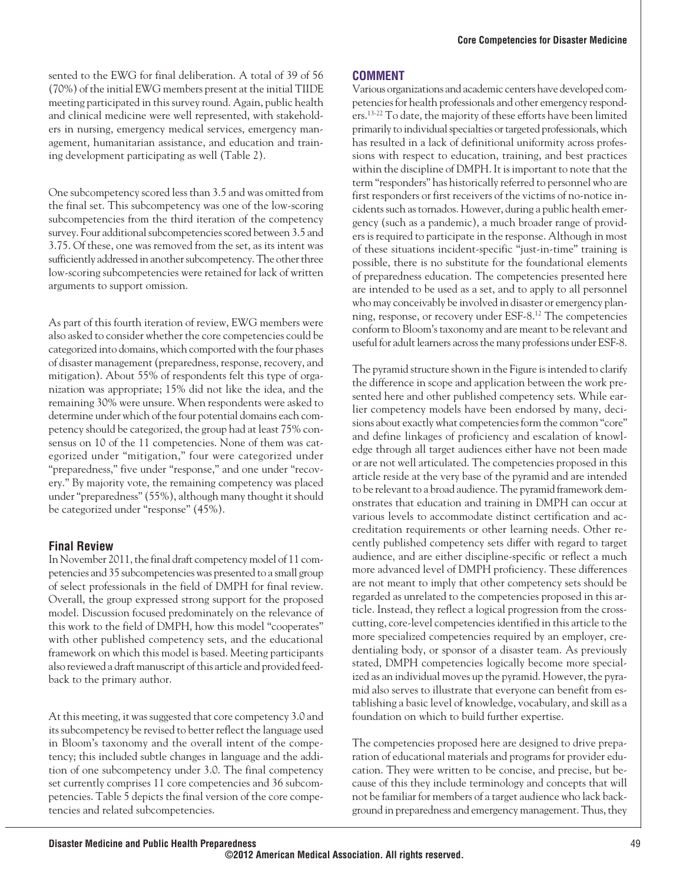sented to the EWG for final deliberation. A total of 39 of 56 (70%) of the initial EWG members present at the initial TIIDE meeting participated in this survey round. Again, public health and clinical medicine were well represented, with stakeholders in nursing, emergency medical services, emergency management, humanitarian assistance, and education and training development participating as well (Table 2).

One subcompetency scored less than 3.5 and was omitted from the final set. This subcompetency was one of the low-scoring subcompetencies from the third iteration of the competency survey. Four additional subcompetencies scored between 3.5 and 3.75. Of these, one was removed from the set, as its intent was sufficiently addressed in another subcompetency. The other three low-scoring subcompetencies were retained for lack of written arguments to support omission.

As part of this fourth iteration of review, EWG members were also asked to consider whether the core competencies could be categorized into domains, which comported with the four phases of disaster management(preparedness, response, recovery, and mitigation). About 55% of respondents felt this type of organization was appropriate; 15% did not like the idea, and the remaining 30% were unsure. When respondents were asked to determine under which of the four potential domains each competency should be categorized, the group had at least 75% consensus on 10 of the 11 competencies. None of them was categorized under "mitigation," four were categorized under "preparedness," five under "response," and one under "recovery." By majority vote, the remaining competency was placed under"preparedness"(55%), although many thought it should be categorized under "response" (45%).

#### **Final Review**

In November 2011, the final draft competency model of 11 competencies and 35 subcompetencieswas presented to a small group of select professionals in the field of DMPH for final review. Overall, the group expressed strong support for the proposed model. Discussion focused predominately on the relevance of this work to the field of DMPH, how this model "cooperates" with other published competency sets, and the educational framework on which this model is based. Meeting participants also reviewed a draft manuscript of this article and provided feedback to the primary author.

At this meeting, it was suggested that core competency 3.0 and its subcompetency be revised to better reflect the language used in Bloom's taxonomy and the overall intent of the competency; this included subtle changes in language and the addition of one subcompetency under 3.0. The final competency set currently comprises 11 core competencies and 36 subcompetencies. Table 5 depicts the final version of the core competencies and related subcompetencies.

#### **COMMENT**

Various organizations and academic centers have developed competencies for health professionals and other emergency responders.13-22 To date, the majority of these efforts have been limited primarily to individual specialties or targeted professionals, which has resulted in a lack of definitional uniformity across professions with respect to education, training, and best practices within the discipline of DMPH. It is important to note that the term "responders" has historically referred to personnel who are first responders or first receivers of the victims of no-notice incidents such as tornados. However, during a public health emergency (such as a pandemic), a much broader range of providers is required to participate in the response. Although in most of these situations incident-specific "just-in-time" training is possible, there is no substitute for the foundational elements of preparedness education. The competencies presented here are intended to be used as a set, and to apply to all personnel who may conceivably be involved in disaster or emergency planning, response, or recovery under ESF-8.12 The competencies conform to Bloom's taxonomy and are meant to be relevant and useful for adult learners across the many professions under ESF-8.

The pyramid structure shown in the Figure is intended to clarify the difference in scope and application between the work presented here and other published competency sets. While earlier competency models have been endorsed by many, decisions about exactly what competencies form the common "core" and define linkages of proficiency and escalation of knowledge through all target audiences either have not been made or are not well articulated. The competencies proposed in this article reside at the very base of the pyramid and are intended to be relevant to a broad audience. The pyramid framework demonstrates that education and training in DMPH can occur at various levels to accommodate distinct certification and accreditation requirements or other learning needs. Other recently published competency sets differ with regard to target audience, and are either discipline-specific or reflect a much more advanced level of DMPH proficiency. These differences are not meant to imply that other competency sets should be regarded as unrelated to the competencies proposed in this article. Instead, they reflect a logical progression from the crosscutting, core-level competencies identified in this article to the more specialized competencies required by an employer, credentialing body, or sponsor of a disaster team. As previously stated, DMPH competencies logically become more specialized as an individual moves up the pyramid. However, the pyramid also serves to illustrate that everyone can benefit from establishing a basic level of knowledge, vocabulary, and skill as a foundation on which to build further expertise.

The competencies proposed here are designed to drive preparation of educational materials and programs for provider education. They were written to be concise, and precise, but because of this they include terminology and concepts that will not be familiar for members of a target audience who lack background in preparedness and emergency management. Thus, they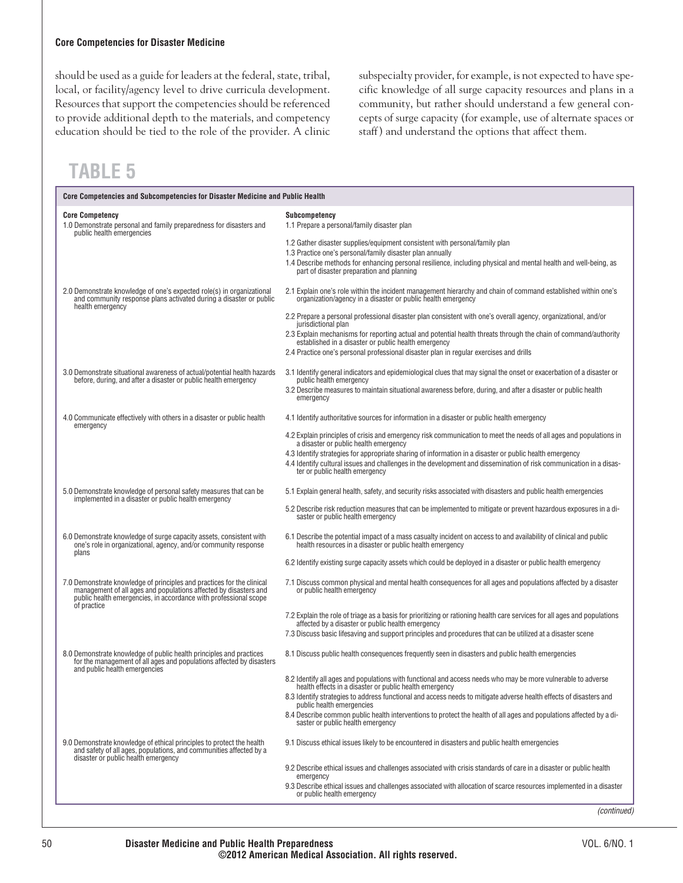#### **Core Competencies for Disaster Medicine**

should be used as a guide for leaders at the federal, state, tribal, local, or facility/agency level to drive curricula development. Resources that support the competencies should be referenced to provide additional depth to the materials, and competency education should be tied to the role of the provider. A clinic

subspecialty provider, for example, is not expected to have specific knowledge of all surge capacity resources and plans in a community, but rather should understand a few general concepts of surge capacity (for example, use of alternate spaces or staff) and understand the options that affect them.

### **TABLE 5**

| Core Competencies and Subcompetencies for Disaster Medicine and Public Health                                                                                                                                                 |                                                                                                                                                                                                                                                                                                          |
|-------------------------------------------------------------------------------------------------------------------------------------------------------------------------------------------------------------------------------|----------------------------------------------------------------------------------------------------------------------------------------------------------------------------------------------------------------------------------------------------------------------------------------------------------|
| <b>Core Competency</b><br>1.0 Demonstrate personal and family preparedness for disasters and<br>public health emergencies                                                                                                     | Subcompetency<br>1.1 Prepare a personal/family disaster plan                                                                                                                                                                                                                                             |
|                                                                                                                                                                                                                               | 1.2 Gather disaster supplies/equipment consistent with personal/family plan<br>1.3 Practice one's personal/family disaster plan annually<br>1.4 Describe methods for enhancing personal resilience, including physical and mental health and well-being, as<br>part of disaster preparation and planning |
| 2.0 Demonstrate knowledge of one's expected role(s) in organizational<br>and community response plans activated during a disaster or public<br>health emergency                                                               | 2.1 Explain one's role within the incident management hierarchy and chain of command established within one's<br>organization/agency in a disaster or public health emergency                                                                                                                            |
|                                                                                                                                                                                                                               | 2.2 Prepare a personal professional disaster plan consistent with one's overall agency, organizational, and/or<br>jurisdictional plan                                                                                                                                                                    |
|                                                                                                                                                                                                                               | 2.3 Explain mechanisms for reporting actual and potential health threats through the chain of command/authority<br>established in a disaster or public health emergency<br>2.4 Practice one's personal professional disaster plan in regular exercises and drills                                        |
| 3.0 Demonstrate situational awareness of actual/potential health hazards<br>before, during, and after a disaster or public health emergency                                                                                   | 3.1 Identify general indicators and epidemiological clues that may signal the onset or exacerbation of a disaster or<br>public health emergency<br>3.2 Describe measures to maintain situational awareness before, during, and after a disaster or public health<br>emergency                            |
| 4.0 Communicate effectively with others in a disaster or public health                                                                                                                                                        | 4.1 Identify authoritative sources for information in a disaster or public health emergency                                                                                                                                                                                                              |
| emergency                                                                                                                                                                                                                     | 4.2 Explain principles of crisis and emergency risk communication to meet the needs of all ages and populations in<br>a disaster or public health emergency                                                                                                                                              |
|                                                                                                                                                                                                                               | 4.3 Identify strategies for appropriate sharing of information in a disaster or public health emergency<br>4.4 Identify cultural issues and challenges in the development and dissemination of risk communication in a disas-<br>ter or public health emergency                                          |
| 5.0 Demonstrate knowledge of personal safety measures that can be<br>implemented in a disaster or public health emergency                                                                                                     | 5.1 Explain general health, safety, and security risks associated with disasters and public health emergencies                                                                                                                                                                                           |
|                                                                                                                                                                                                                               | 5.2 Describe risk reduction measures that can be implemented to mitigate or prevent hazardous exposures in a di-<br>saster or public health emergency                                                                                                                                                    |
| 6.0 Demonstrate knowledge of surge capacity assets, consistent with<br>one's role in organizational, agency, and/or community response<br>plans                                                                               | 6.1 Describe the potential impact of a mass casualty incident on access to and availability of clinical and public<br>health resources in a disaster or public health emergency                                                                                                                          |
|                                                                                                                                                                                                                               | 6.2 Identify existing surge capacity assets which could be deployed in a disaster or public health emergency                                                                                                                                                                                             |
| 7.0 Demonstrate knowledge of principles and practices for the clinical<br>management of all ages and populations affected by disasters and<br>public health emergencies, in accordance with professional scope<br>of practice | 7.1 Discuss common physical and mental health consequences for all ages and populations affected by a disaster<br>or public health emergency                                                                                                                                                             |
|                                                                                                                                                                                                                               | 7.2 Explain the role of triage as a basis for prioritizing or rationing health care services for all ages and populations<br>affected by a disaster or public health emergency                                                                                                                           |
|                                                                                                                                                                                                                               | 7.3 Discuss basic lifesaving and support principles and procedures that can be utilized at a disaster scene                                                                                                                                                                                              |
| 8.0 Demonstrate knowledge of public health principles and practices<br>for the management of all ages and populations affected by disasters<br>and public health emergencies                                                  | 8.1 Discuss public health consequences frequently seen in disasters and public health emergencies                                                                                                                                                                                                        |
|                                                                                                                                                                                                                               | 8.2 Identify all ages and populations with functional and access needs who may be more vulnerable to adverse<br>health effects in a disaster or public health emergency                                                                                                                                  |
|                                                                                                                                                                                                                               | 8.3 Identify strategies to address functional and access needs to mitigate adverse health effects of disasters and<br>public health emergencies                                                                                                                                                          |
|                                                                                                                                                                                                                               | 8.4 Describe common public health interventions to protect the health of all ages and populations affected by a di-<br>saster or public health emergency                                                                                                                                                 |
| 9.0 Demonstrate knowledge of ethical principles to protect the health<br>and safety of all ages, populations, and communities affected by a<br>disaster or public health emergency                                            | 9.1 Discuss ethical issues likely to be encountered in disasters and public health emergencies                                                                                                                                                                                                           |
|                                                                                                                                                                                                                               | 9.2 Describe ethical issues and challenges associated with crisis standards of care in a disaster or public health<br>emergency                                                                                                                                                                          |
|                                                                                                                                                                                                                               | 9.3 Describe ethical issues and challenges associated with allocation of scarce resources implemented in a disaster<br>or public health emergency                                                                                                                                                        |
|                                                                                                                                                                                                                               | (continued)                                                                                                                                                                                                                                                                                              |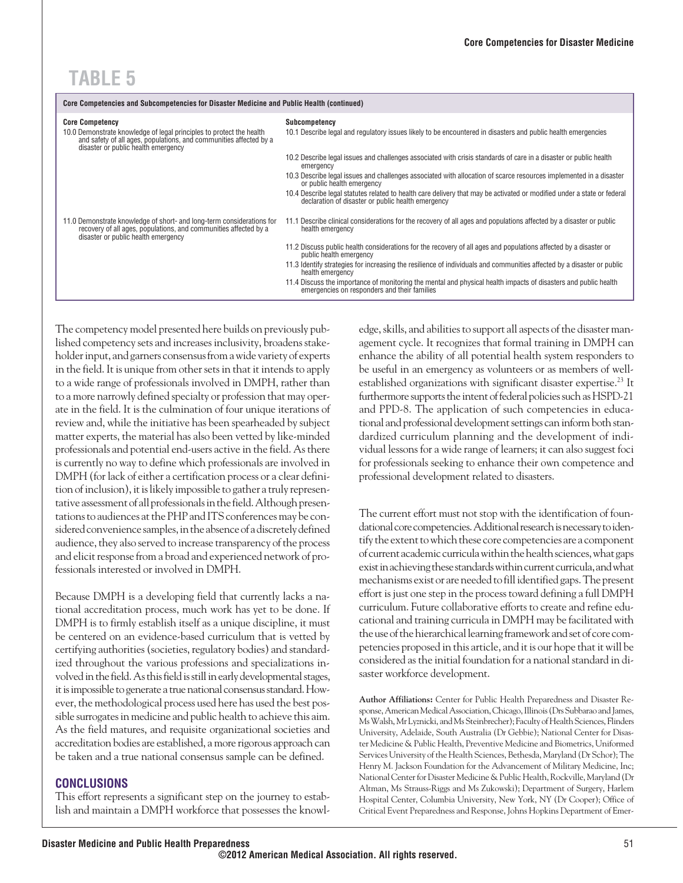### **TABLE 5**

| Core Competencies and Subcompetencies for Disaster Medicine and Public Health (continued)                                                                                                                   |                                                                                                                                                                               |  |  |
|-------------------------------------------------------------------------------------------------------------------------------------------------------------------------------------------------------------|-------------------------------------------------------------------------------------------------------------------------------------------------------------------------------|--|--|
| <b>Core Competency</b><br>10.0 Demonstrate knowledge of legal principles to protect the health<br>and safety of all ages, populations, and communities affected by a<br>disaster or public health emergency | Subcompetency<br>10.1 Describe legal and regulatory issues likely to be encountered in disasters and public health emergencies                                                |  |  |
|                                                                                                                                                                                                             | 10.2 Describe legal issues and challenges associated with crisis standards of care in a disaster or public health<br>emergency                                                |  |  |
|                                                                                                                                                                                                             | 10.3 Describe legal issues and challenges associated with allocation of scarce resources implemented in a disaster<br>or public health emergency                              |  |  |
|                                                                                                                                                                                                             | 10.4 Describe legal statutes related to health care delivery that may be activated or modified under a state or federal<br>declaration of disaster or public health emergency |  |  |
| 11.0 Demonstrate knowledge of short- and long-term considerations for<br>recovery of all ages, populations, and communities affected by a<br>disaster or public health emergency                            | 11.1 Describe clinical considerations for the recovery of all ages and populations affected by a disaster or public<br>health emergency                                       |  |  |
|                                                                                                                                                                                                             | 11.2 Discuss public health considerations for the recovery of all ages and populations affected by a disaster or<br>public health emergency                                   |  |  |
|                                                                                                                                                                                                             | 11.3 Identify strategies for increasing the resilience of individuals and communities affected by a disaster or public<br>health emergency                                    |  |  |
|                                                                                                                                                                                                             | 11.4 Discuss the importance of monitoring the mental and physical health impacts of disasters and public health<br>emergencies on responders and their families               |  |  |

The competency model presented here builds on previously published competency sets and increases inclusivity, broadens stakeholder input, and garners consensus from a wide variety of experts in the field. It is unique from other sets in that it intends to apply to a wide range of professionals involved in DMPH, rather than to a more narrowly defined specialty or profession that may operate in the field. It is the culmination of four unique iterations of review and, while the initiative has been spearheaded by subject matter experts, the material has also been vetted by like-minded professionals and potential end-users active in the field. As there is currently no way to define which professionals are involved in DMPH (for lack of either a certification process or a clear definition of inclusion), it is likely impossible to gather a truly representative assessment of all professionals in the field. Although presentations to audiences at the PHP and ITS conferences may be considered convenience samples, in the absence of a discretely defined audience, they also served to increase transparency of the process and elicit response from a broad and experienced network of professionals interested or involved in DMPH.

Because DMPH is a developing field that currently lacks a national accreditation process, much work has yet to be done. If DMPH is to firmly establish itself as a unique discipline, it must be centered on an evidence-based curriculum that is vetted by certifying authorities(societies, regulatory bodies) and standardized throughout the various professions and specializations involved in the field. As this field is still in early developmental stages, it is impossible to generate a true national consensus standard. However, the methodological process used here has used the best possible surrogates in medicine and public health to achieve this aim. As the field matures, and requisite organizational societies and accreditation bodies are established, amore rigorous approach can be taken and a true national consensus sample can be defined.

#### **CONCLUSIONS**

This effort represents a significant step on the journey to establish and maintain a DMPH workforce that possesses the knowledge, skills, and abilities to support all aspects of the disaster management cycle. It recognizes that formal training in DMPH can enhance the ability of all potential health system responders to be useful in an emergency as volunteers or as members of wellestablished organizations with significant disaster expertise.<sup>23</sup> It furthermore supports the intent of federal policies such as HSPD-21 and PPD-8. The application of such competencies in educational and professional development settings can inform both standardized curriculum planning and the development of individual lessons for a wide range of learners; it can also suggest foci for professionals seeking to enhance their own competence and professional development related to disasters.

The current effort must not stop with the identification of foundational core competencies. Additional research is necessary to identify the extent to which these core competencies are a component of current academic curricula within the health sciences, what gaps exist in achieving these standards within current curricula, and what mechanisms exist or are needed to fill identified gaps. The present effort is just one step in the process toward defining a full DMPH curriculum. Future collaborative efforts to create and refine educational and training curricula in DMPH may be facilitated with the use of the hierarchical learning framework and set of core competencies proposed in this article, and it is our hope that it will be considered as the initial foundation for a national standard in disaster workforce development.

**Author Affiliations:** Center for Public Health Preparedness and Disaster Response, American Medical Association, Chicago, Illinois (Drs Subbarao and James, Ms Walsh, Mr Lyznicki, and Ms Steinbrecher); Faculty of Health Sciences, Flinders University, Adelaide, South Australia (Dr Gebbie); National Center for Disaster Medicine & Public Health, Preventive Medicine and Biometrics, Uniformed Services University of the Health Sciences, Bethesda, Maryland (Dr Schor); The Henry M. Jackson Foundation for the Advancement of Military Medicine, Inc; National Center for Disaster Medicine & Public Health, Rockville, Maryland (Dr Altman, Ms Strauss-Riggs and Ms Zukowski); Department of Surgery, Harlem Hospital Center, Columbia University, New York, NY (Dr Cooper); Office of Critical Event Preparedness and Response, Johns Hopkins Department of Emer-